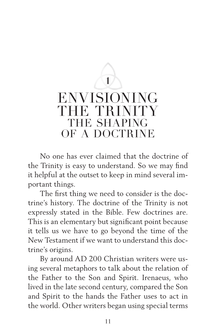## **1** ENVISIONING THE TRINITY THE SHAPING OF A DOCTRINE

No one has ever claimed that the doctrine of the Trinity is easy to understand. So we may find it helpful at the outset to keep in mind several important things.

The first thing we need to consider is the doctrine's history. The doctrine of the Trinity is not expressly stated in the Bible. Few doctrines are. This is an elementary but significant point because it tells us we have to go beyond the time of the New Testament if we want to understand this doctrine's origins.

By around AD 200 Christian writers were using several metaphors to talk about the relation of the Father to the Son and Spirit. Irenaeus, who lived in the late second century, compared the Son and Spirit to the hands the Father uses to act in the world. Other writers began using special terms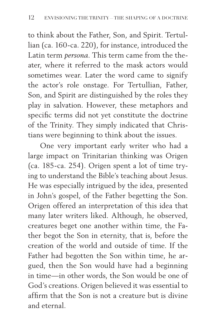to think about the Father, Son, and Spirit. Tertullian (ca. 160-ca. 220), for instance, introduced the Latin term *persona.* This term came from the theater, where it referred to the mask actors would sometimes wear. Later the word came to signify the actor's role onstage. For Tertullian, Father, Son, and Spirit are distinguished by the roles they play in salvation. However, these metaphors and specific terms did not yet constitute the doctrine of the Trinity. They simply indicated that Christians were beginning to think about the issues.

One very important early writer who had a large impact on Trinitarian thinking was Origen (ca. 185-ca. 254). Origen spent a lot of time trying to understand the Bible's teaching about Jesus. He was especially intrigued by the idea, presented in John's gospel, of the Father begetting the Son. Origen offered an interpretation of this idea that many later writers liked. Although, he observed, creatures beget one another within time, the Father begot the Son in eternity, that is, before the creation of the world and outside of time. If the Father had begotten the Son within time, he argued, then the Son would have had a beginning in time—in other words, the Son would be one of God's creations. Origen believed it was essential to affirm that the Son is not a creature but is divine and eternal.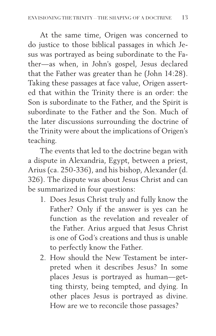At the same time, Origen was concerned to do justice to those biblical passages in which Jesus was portrayed as being subordinate to the Father—as when, in John's gospel, Jesus declared that the Father was greater than he (John 14:28). Taking these passages at face value, Origen asserted that within the Trinity there is an order: the Son is subordinate to the Father, and the Spirit is subordinate to the Father and the Son. Much of the later discussions surrounding the doctrine of the Trinity were about the implications of Origen's teaching.

The events that led to the doctrine began with a dispute in Alexandria, Egypt, between a priest, Arius (ca. 250-336), and his bishop, Alexander (d. 326). The dispute was about Jesus Christ and can be summarized in four questions:

- 1. Does Jesus Christ truly and fully know the Father? Only if the answer is yes can he function as the revelation and revealer of the Father. Arius argued that Jesus Christ is one of God's creations and thus is unable to perfectly know the Father.
- 2. How should the New Testament be interpreted when it describes Jesus? In some places Jesus is portrayed as human—getting thirsty, being tempted, and dying. In other places Jesus is portrayed as divine. How are we to reconcile those passages?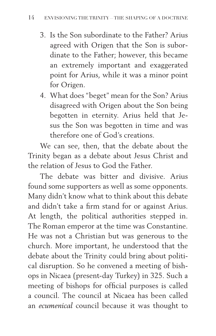- 3. Is the Son subordinate to the Father? Arius agreed with Origen that the Son is subordinate to the Father; however, this became an extremely important and exaggerated point for Arius, while it was a minor point for Origen.
- 4. What does "beget" mean for the Son? Arius disagreed with Origen about the Son being begotten in eternity. Arius held that Jesus the Son was begotten in time and was therefore one of God's creations.

We can see, then, that the debate about the Trinity began as a debate about Jesus Christ and the relation of Jesus to God the Father.

The debate was bitter and divisive. Arius found some supporters as well as some opponents. Many didn't know what to think about this debate and didn't take a firm stand for or against Arius. At length, the political authorities stepped in. The Roman emperor at the time was Constantine. He was not a Christian but was generous to the church. More important, he understood that the debate about the Trinity could bring about political disruption. So he convened a meeting of bishops in Nicaea (present-day Turkey) in 325. Such a meeting of bishops for official purposes is called a council. The council at Nicaea has been called an *ecumenical* council because it was thought to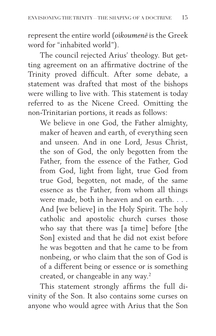represent the entire world (*oikoumenē* is the Greek word for "inhabited world").

The council rejected Arius' theology. But getting agreement on an affirmative doctrine of the Trinity proved difficult. After some debate, a statement was drafted that most of the bishops were willing to live with. This statement is today referred to as the Nicene Creed. Omitting the non-Trinitarian portions, it reads as follows:

We believe in one God, the Father almighty, maker of heaven and earth, of everything seen and unseen. And in one Lord, Jesus Christ, the son of God, the only begotten from the Father, from the essence of the Father, God from God, light from light, true God from true God, begotten, not made, of the same essence as the Father, from whom all things were made, both in heaven and on earth. . . . And [we believe] in the Holy Spirit. The holy catholic and apostolic church curses those who say that there was [a time] before [the Son] existed and that he did not exist before he was begotten and that he came to be from nonbeing, or who claim that the son of God is of a different being or essence or is something created, or changeable in any way.2

This statement strongly affirms the full divinity of the Son. It also contains some curses on anyone who would agree with Arius that the Son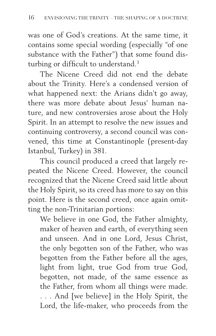was one of God's creations. At the same time, it contains some special wording (especially "of one substance with the Father") that some found disturbing or difficult to understand.<sup>3</sup>

The Nicene Creed did not end the debate about the Trinity. Here's a condensed version of what happened next: the Arians didn't go away, there was more debate about Jesus' human nature, and new controversies arose about the Holy Spirit. In an attempt to resolve the new issues and continuing controversy, a second council was convened, this time at Constantinople (present-day Istanbul, Turkey) in 381.

This council produced a creed that largely repeated the Nicene Creed. However, the council recognized that the Nicene Creed said little about the Holy Spirit, so its creed has more to say on this point. Here is the second creed, once again omitting the non-Trinitarian portions:

We believe in one God, the Father almighty, maker of heaven and earth, of everything seen and unseen. And in one Lord, Jesus Christ, the only begotten son of the Father, who was begotten from the Father before all the ages, light from light, true God from true God, begotten, not made, of the same essence as the Father, from whom all things were made. . . . And [we believe] in the Holy Spirit, the Lord, the life-maker, who proceeds from the